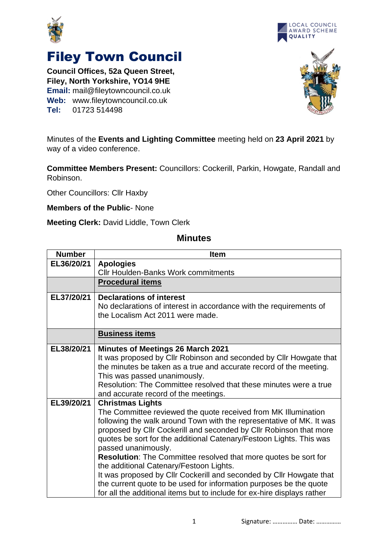



## Filey Town Council

**Council Offices, 52a Queen Street, Filey, North Yorkshire, YO14 9HE Email:** mail@fileytowncouncil.co.uk **Web:** www.fileytowncouncil.co.uk **Tel:** 01723 514498



Minutes of the **Events and Lighting Committee** meeting held on **23 April 2021** by way of a video conference.

**Committee Members Present:** Councillors: Cockerill, Parkin, Howgate, Randall and Robinson.

Other Councillors: Cllr Haxby

**Members of the Public**- None

**Meeting Clerk:** David Liddle, Town Clerk

## **Minutes**

| <b>Number</b> | <b>Item</b>                                                             |  |
|---------------|-------------------------------------------------------------------------|--|
| EL36/20/21    | <b>Apologies</b>                                                        |  |
|               | <b>CIIr Houlden-Banks Work commitments</b>                              |  |
|               | <b>Procedural items</b>                                                 |  |
| EL37/20/21    | <b>Declarations of interest</b>                                         |  |
|               | No declarations of interest in accordance with the requirements of      |  |
|               | the Localism Act 2011 were made.                                        |  |
|               | <b>Business items</b>                                                   |  |
| EL38/20/21    | <b>Minutes of Meetings 26 March 2021</b>                                |  |
|               | It was proposed by Cllr Robinson and seconded by Cllr Howgate that      |  |
|               | the minutes be taken as a true and accurate record of the meeting.      |  |
|               | This was passed unanimously.                                            |  |
|               | Resolution: The Committee resolved that these minutes were a true       |  |
|               | and accurate record of the meetings.                                    |  |
| EL39/20/21    | <b>Christmas Lights</b>                                                 |  |
|               | The Committee reviewed the quote received from MK Illumination          |  |
|               | following the walk around Town with the representative of MK. It was    |  |
|               | proposed by Cllr Cockerill and seconded by Cllr Robinson that more      |  |
|               | quotes be sort for the additional Catenary/Festoon Lights. This was     |  |
|               | passed unanimously.                                                     |  |
|               | Resolution: The Committee resolved that more quotes be sort for         |  |
|               | the additional Catenary/Festoon Lights.                                 |  |
|               | It was proposed by Cllr Cockerill and seconded by Cllr Howgate that     |  |
|               | the current quote to be used for information purposes be the quote      |  |
|               | for all the additional items but to include for ex-hire displays rather |  |